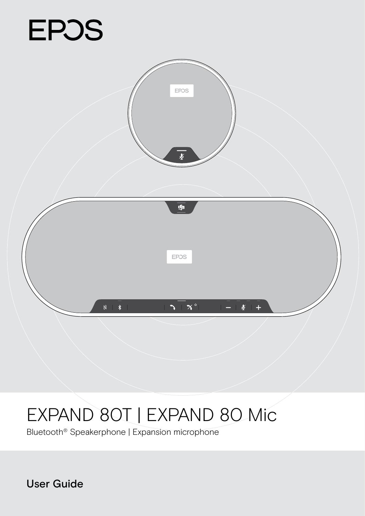# **EPOS**



# EXPAND 80T | EXPAND 80 Mic

Bluetooth® Speakerphone | Expansion microphone

User Guide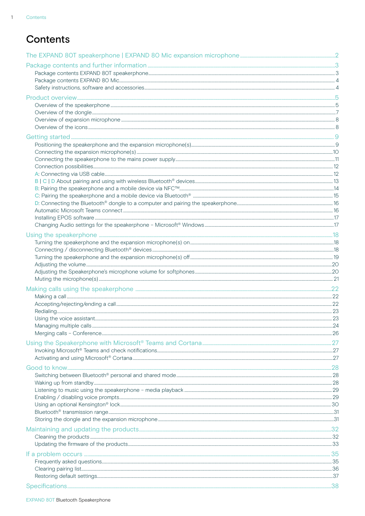$\overline{1}$ 

## **Contents**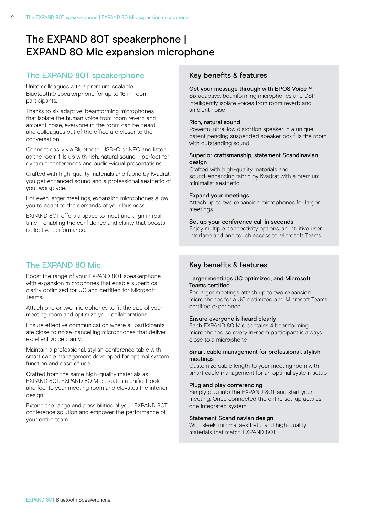# <span id="page-2-0"></span>The EXPAND 80T speakerphone | EXPAND 80 Mic expansion microphone

### The EXPAND 80T speakerphone

Unite colleagues with a premium, scalable Bluetooth® speakerphone for up to 16 in-room participants.

Thanks to six adaptive, beamforming microphones that isolate the human voice from room reverb and ambient noise, everyone in the room can be heard and colleagues out of the office are closer to the conversation.

Connect easily via Bluetooth, USB-C or NFC and listen as the room fills up with rich, natural sound – perfect for dynamic conferences and audio-visual presentations.

Crafted with high-quality materials and fabric by Kvadrat, you get enhanced sound and a professional aesthetic of your workplace.

For even larger meetings, expansion microphones allow you to adapt to the demands of your business.

EXPAND 80T offers a space to meet and align in real time – enabling the confidence and clarity that boosts collective performance.

## The EXPAND 80 Mic

Boost the range of your EXPAND 80T speakerphone with expansion microphones that enable superb call clarity optimized for UC and certified for Microsoft Teams.

Attach one or two microphones to fit the size of your meeting room and optimize your collaborations.

Ensure effective communication where all participants are close to noise-cancelling microphones that deliver excellent voice clarity.

Maintain a professional, stylish conference table with smart cable management developed for optimal system function and ease of use.

Crafted from the same high-quality materials as EXPAND 80T, EXPAND 80 Mic creates a unified look and feel to your meeting room and elevates the interior design.

Extend the range and possibilities of your EXPAND 80T conference solution and empower the performance of your entire team.

#### Key benefits & features

#### Get your message through with EPOS Voice™

Six adaptive, beamforming microphones and DSP intelligently isolate voices from room reverb and ambient noise

#### Rich, natural sound

Powerful ultra-low distortion speaker in a unique patent pending suspended speaker box fills the room with outstanding sound

#### Superior craftsmanship, statement Scandinavian design

Crafted with high-quality materials and sound-enhancing fabric by Kvadrat with a premium, minimalist aesthetic

#### Expand your meetings

Attach up to two expansion microphones for larger meetings

#### Set up your conference call in seconds

Enjoy multiple connectivity options, an intuitive user interface and one touch access to Microsoft Teams

#### Key benefits & features

#### Larger meetings UC optimized, and Microsoft Teams certified

For larger meetings attach up to two expansion microphones for a UC optimized and Microsoft Teams certified experience

#### Ensure everyone is heard clearly

Each EXPAND 80 Mic contains 4 beamforming microphones, so every in-room participant is always close to a microphone

#### Smart cable management for professional, stylish meetings

Customize cable length to your meeting room with smart cable management for an optimal system setup

#### Plug and play conferencing

Simply plug into the EXPAND 80T and start your meeting. Once connected the entire set-up acts as one integrated system

#### Statement Scandinavian design

With sleek, minimal aesthetic and high-quality materials that match EXPAND 80T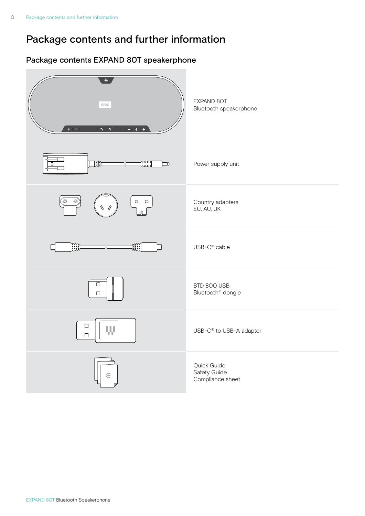# <span id="page-3-0"></span>Package contents and further information

## Package contents EXPAND 80T speakerphone

| 画<br>EPOS<br>$-\frac{1}{2}$ $\frac{1}{2}$ $\frac{1}{2}$ $\frac{1}{2}$<br>$\mathbb{N} \rightarrow \mathbb{R}$<br>$\mathbf{S}+\mathbf{X}^{\circ}$ | EXPAND 80T<br>Bluetooth speakerphone            |
|-------------------------------------------------------------------------------------------------------------------------------------------------|-------------------------------------------------|
| <b>FILE</b><br>nung<br>Luul<br>I<br>О                                                                                                           | Power supply unit                               |
| $\overset{\odot}{=}$<br>O<br>口 口                                                                                                                | Country adapters<br>EU, AU, UK                  |
| <b>INIL</b><br>₩∭                                                                                                                               | USB-C <sup>®</sup> cable                        |
| $\Box$<br>$\mathbf{L}$                                                                                                                          | BTD 800 USB<br>Bluetooth <sup>®</sup> dongle    |
| $\Box$<br>W<br>$\Box$                                                                                                                           | USB-C <sup>®</sup> to USB-A adapter             |
| €                                                                                                                                               | Quick Guide<br>Safety Guide<br>Compliance sheet |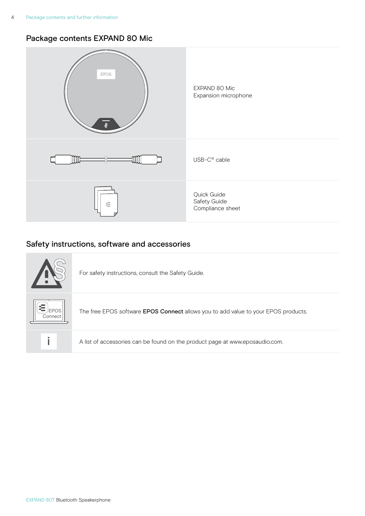## <span id="page-4-0"></span>Package contents EXPAND 80 Mic



## Safety instructions, software and accessories



For safety instructions, consult the Safety Guide.

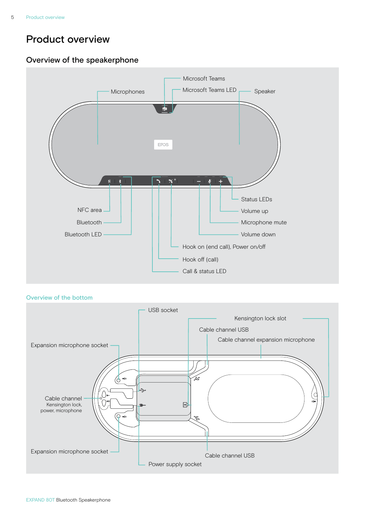## <span id="page-5-0"></span>Product overview

## Overview of the speakerphone



#### Overview of the bottom

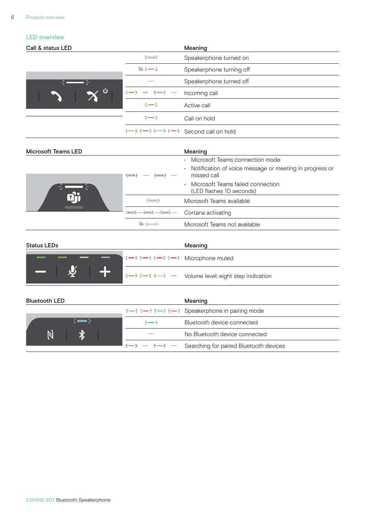#### LED overview

| Call & status LED |                                                                                                   | Meaning                  |
|-------------------|---------------------------------------------------------------------------------------------------|--------------------------|
|                   | $\div$                                                                                            | Speakerphone turned on   |
|                   | $3x \div 3 = 5$                                                                                   | Speakerphone turning off |
| - 1               | <b>Contract Contract</b>                                                                          | Speakerphone turned off  |
| - ပ               | $3 \rightarrow 5 \rightarrow 3 \rightarrow 5 \rightarrow 5$                                       | Incoming call            |
|                   | $\div$ $\div$                                                                                     | Active call              |
|                   | $\div$ $\rightarrow$                                                                              | Call on hold             |
|                   | $\frac{1}{2}$ = $\frac{1}{2}$ = $\frac{1}{2}$ = $\frac{1}{2}$ = $\frac{1}{2}$ Second call on hold |                          |

| Microsoft Teams LED |                                        | Meaning                                                                |
|---------------------|----------------------------------------|------------------------------------------------------------------------|
|                     |                                        | Microsoft Teams connection mode                                        |
|                     | ∹—⊱ —<br>⊰⇔⊱                           | Notification of voice message or meeting in progress or<br>missed call |
|                     |                                        | Microsoft Teams failed connection<br>(LED flashes 10 seconds)          |
|                     | $\div$ $\rightarrow$                   | Microsoft Teams available                                              |
|                     | $:=\leftarrow:=\leftarrow:=\leftarrow$ | Cortana activating                                                     |
|                     | $3x \div 3 = 5$                        | Microsoft Teams not available                                          |

| <b>Status LEDs</b>                                |  |                                                                       | Meaning                                                                                                                                                                                                                                                                                                               |
|---------------------------------------------------|--|-----------------------------------------------------------------------|-----------------------------------------------------------------------------------------------------------------------------------------------------------------------------------------------------------------------------------------------------------------------------------------------------------------------|
|                                                   |  | $\Rightarrow -\in \Rightarrow -\in \Rightarrow -\in$ Microphone muted |                                                                                                                                                                                                                                                                                                                       |
| $\overline{\phantom{a}}$ $\overline{\phantom{a}}$ |  |                                                                       | $\mathbf{I}$ $\mathbf{I} = \mathbf{I}$ $\mathbf{I} = \mathbf{I}$ $\mathbf{I} = \mathbf{I}$ and $\mathbf{I} = \mathbf{I}$ and $\mathbf{I}$ and $\mathbf{I}$ and $\mathbf{I}$ and $\mathbf{I}$ and $\mathbf{I}$ and $\mathbf{I}$ and $\mathbf{I}$ and $\mathbf{I}$ and $\mathbf{I}$ and $\mathbf{I}$ and $\mathbf{I}$ a |

| <b>Bluetooth LED</b> |                      | Meaning                                                                                                                                      |
|----------------------|----------------------|----------------------------------------------------------------------------------------------------------------------------------------------|
|                      |                      | $\frac{1}{2}$ $\frac{1}{2}$ $\frac{1}{2}$ $\frac{1}{2}$ $\frac{1}{2}$ $\frac{1}{2}$ $\frac{1}{2}$ $\frac{1}{2}$ Speakerphone in pairing mode |
|                      | $\div$ $\rightarrow$ | Bluetooth device connected                                                                                                                   |
|                      |                      | No Bluetooth device connected                                                                                                                |
|                      |                      | $\Rightarrow -\in$ Searching for paired Bluetooth devices                                                                                    |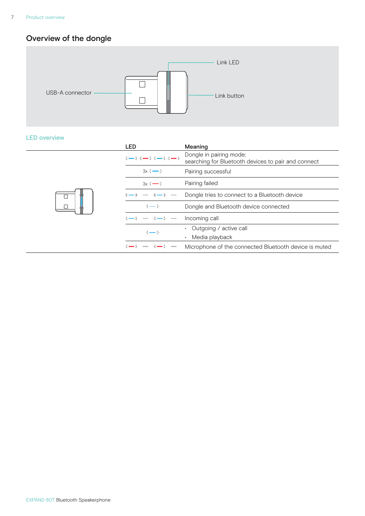## <span id="page-7-0"></span>Overview of the dongle



#### LED overview

| <b>LED</b>               | Meaning                                                                        |
|--------------------------|--------------------------------------------------------------------------------|
| $3 - 3 - 3 - 3 - 3 - 5$  | Dongle in pairing mode:<br>searching for Bluetooth devices to pair and connect |
| $3x \div 3$              | Pairing successful                                                             |
| $3x \div 3$              | Pairing failed                                                                 |
| $\rightarrow - + -$      | Dongle tries to connect to a Bluetooth device                                  |
| $\div$ $\div$            | Dongle and Bluetooth device connected                                          |
| <b>Contract Contract</b> | Incoming call                                                                  |
| $\div$ $\rightarrow$     | Outgoing / active call<br>Media playback                                       |
|                          |                                                                                |
| <b>Contract Contract</b> | Microphone of the connected Bluetooth device is muted                          |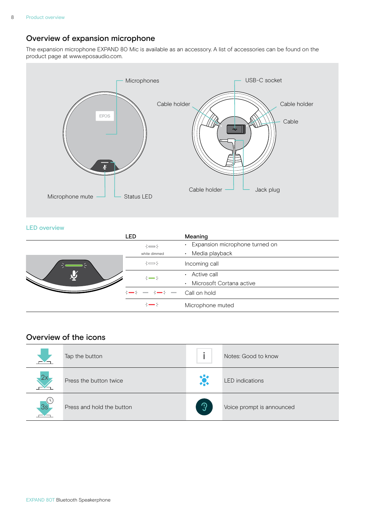## <span id="page-8-0"></span>Overview of expansion microphone

The expansion microphone EXPAND 80 Mic is available as an accessory. A list of accessories can be found on the product page at www.eposaudio.com.



#### LED overview

|  | LED                                             | Meaning                                     |
|--|-------------------------------------------------|---------------------------------------------|
|  | $\div$                                          | Expansion microphone turned on<br>$\bullet$ |
|  | white dimmed                                    | Media playback<br>$\bullet$                 |
|  | $\div$                                          | Incoming call                               |
|  | $\div$ $\div$                                   | Active call                                 |
|  |                                                 | Microsoft Cortana active<br>$\bullet$       |
|  | $3 \rightarrow 5 \rightarrow -5 \rightarrow -5$ | Call on hold                                |
|  | $\div$ $\rightarrow$                            | Microphone muted                            |

## Overview of the icons

|    | Tap the button            |               | Notes: Good to know       |
|----|---------------------------|---------------|---------------------------|
| 2x | Press the button twice    | 岑             | <b>LED</b> indications    |
| 3s | Press and hold the button | $\mathcal{D}$ | Voice prompt is announced |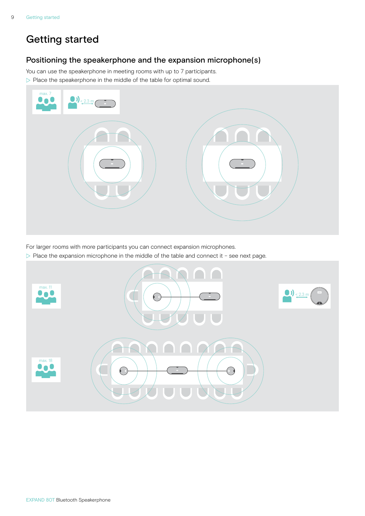# <span id="page-9-0"></span>Getting started

## Positioning the speakerphone and the expansion microphone(s)

You can use the speakerphone in meeting rooms with up to 7 participants.  $\triangleright$  Place the speakerphone in the middle of the table for optimal sound.



For larger rooms with more participants you can connect expansion microphones.

 $\triangleright$  Place the expansion microphone in the middle of the table and connect it - see next page.

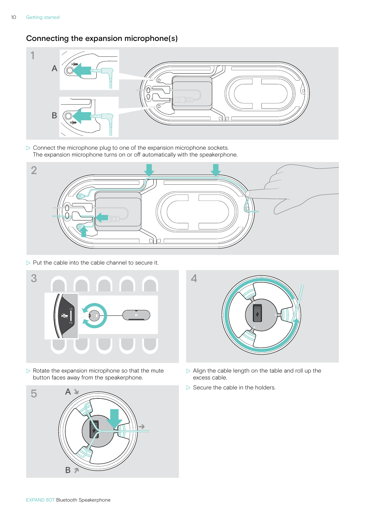## <span id="page-10-0"></span>Connecting the expansion microphone(s)



 $\triangleright$  Connect the microphone plug to one of the expansion microphone sockets. The expansion microphone turns on or off automatically with the speakerphone.



 $\triangleright$  Put the cable into the cable channel to secure it.



 $\triangleright$  Rotate the expansion microphone so that the mute button faces away from the speakerphone.





- $\triangleright$  Align the cable length on the table and roll up the excess cable.
- $\triangleright$  Secure the cable in the holders.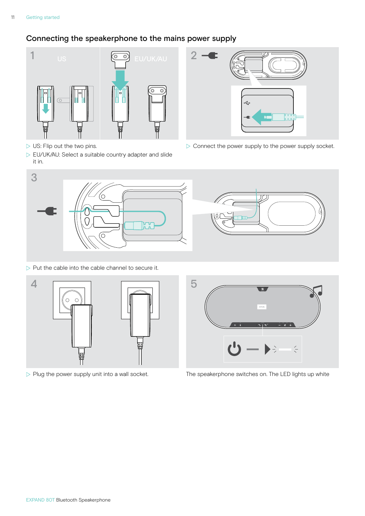## <span id="page-11-1"></span><span id="page-11-0"></span>Connecting the speakerphone to the mains power supply



- $\triangleright$  US: Flip out the two pins.
- $\triangleright$  EU/UK/AU: Select a suitable country adapter and slide it in.



 $\triangleright$  Connect the power supply to the power supply socket.



 $\triangleright$  Put the cable into the cable channel to secure it.







 $\triangleright$  Plug the power supply unit into a wall socket. The speakerphone switches on. The LED lights up white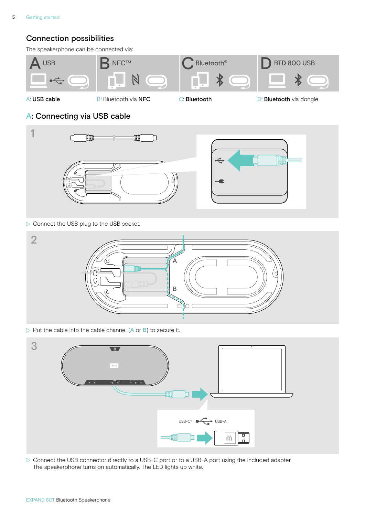## <span id="page-12-0"></span>Connection possibilities

The speakerphone can be connected via:



<span id="page-12-1"></span>

A: USB cable **B:** B: Bluetooth via NFC **C: Bluetooth C: Bluetooth D: Bluetooth** via dongle

## A: Connecting via USB cable



 $\triangleright$  Connect the USB plug to the USB socket.



 $\triangleright$  Put the cable into the cable channel (A or B) to secure it.



▶ Connect the USB connector directly to a USB-C port or to a USB-A port using the included adapter. The speakerphone turns on automatically. The LED lights up white.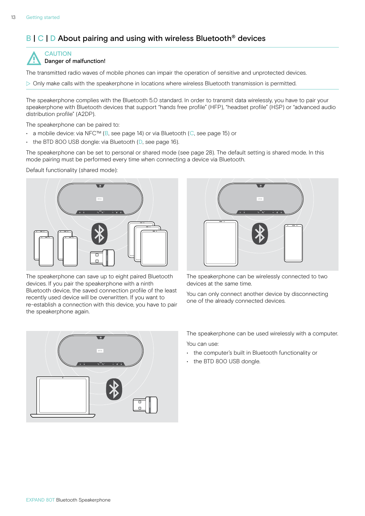## <span id="page-13-1"></span><span id="page-13-0"></span>B | C | D About pairing and using with wireless Bluetooth<sup>®</sup> devices



The transmitted radio waves of mobile phones can impair the operation of sensitive and unprotected devices.

 $\triangleright$  Only make calls with the speakerphone in locations where wireless Bluetooth transmission is permitted.

The speakerphone complies with the Bluetooth 5.0 standard. In order to transmit data wirelessly, you have to pair your speakerphone with Bluetooth devices that support "hands free profile" (HFP), "headset profile" (HSP) or "advanced audio distribution profile" (A2DP).

The speakerphone can be paired to:

- a mobile device: via NFC™ (B, see page [14\)](#page-14-1) or via Bluetooth (C, see page [15\)](#page-15-1) or
- the BTD 800 USB dongle: via Bluetooth (D, see page [16\)](#page-16-1).

The speakerphone can be set to personal or shared mode (see page [28](#page-28-1)). The default setting is shared mode. In this mode pairing must be performed every time when connecting a device via Bluetooth.

Default functionality (shared mode):



The speakerphone can save up to eight paired Bluetooth devices. If you pair the speakerphone with a ninth Bluetooth device, the saved connection profile of the least recently used device will be overwritten. If you want to re-establish a connection with this device, you have to pair the speakerphone again.



The speakerphone can be wirelessly connected to two devices at the same time.

You can only connect another device by disconnecting one of the already connected devices.



The speakerphone can be used wirelessly with a computer. You can use:

- the computer's built in Bluetooth functionality or
- the BTD 800 USB dongle.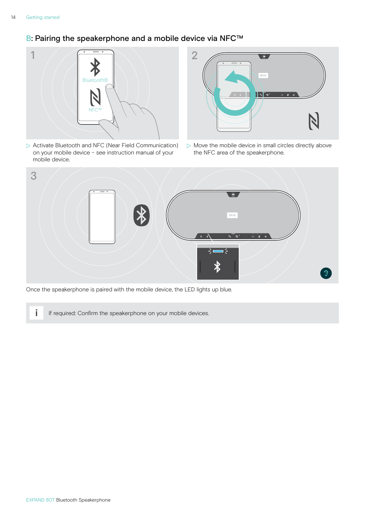## <span id="page-14-1"></span><span id="page-14-0"></span>B: Pairing the speakerphone and a mobile device via NFC™



 $\triangleright$  Activate Bluetooth and NFC (Near Field Communication) on your mobile device – see instruction manual of your mobile device.



 $\triangleright$  Move the mobile device in small circles directly above the NFC area of the speakerphone.



Once the speakerphone is paired with the mobile device, the LED lights up blue.

**i** If required: Confirm the speakerphone on your mobile devices.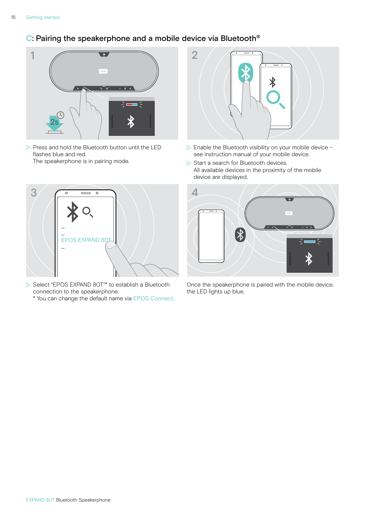## <span id="page-15-1"></span><span id="page-15-0"></span>C: Pairing the speakerphone and a mobile device via Bluetooth®



 $\triangleright$  Press and hold the Bluetooth button until the LED flashes blue and red. The speakerphone is in pairing mode.



- $\triangleright$  Select "EPOS EXPAND 80T"\* to establish a Bluetooth connection to the speakerphone.
	- \* You can change the default name via EPOS Connect.



- $\triangleright$  Enable the Bluetooth visibility on your mobile device see instruction manual of your mobile device.
- $\triangleright$  Start a search for Bluetooth devices. All available devices in the proximity of the mobile device are displayed.



Once the speakerphone is paired with the mobile device, the LED lights up blue.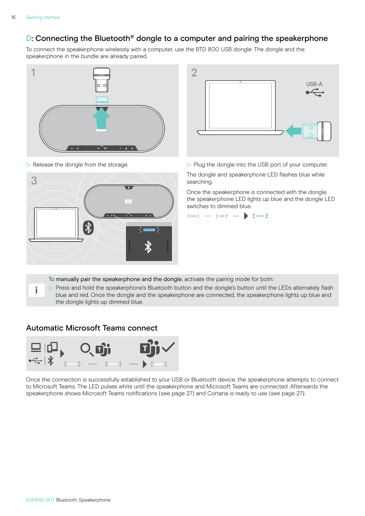i

## <span id="page-16-1"></span><span id="page-16-0"></span>D: Connecting the Bluetooth® dongle to a computer and pairing the speakerphone

To connect the speakerphone wirelessly with a computer, use the BTD 800 USB dongle. The dongle and the speakerphone in the bundle are already paired.







 $\triangleright$  Release the dongle from the storage.  $\triangleright$  Plug the dongle into the USB port of your computer.

searching.

Once the speakerphone is connected with the dongle, the speakerphone LED lights up blue and the dongle LED switches to dimmed blue.



To manually pair the speakerphone and the dongle, activate the pairing mode for both:

 $\triangleright$  Press and hold the speakerphone's Bluetooth button and the dongle's button until the LEDs alternately flash blue and red. Once the dongle and the speakerphone are connected, the speakerphone lights up blue and the dongle lights up dimmed blue.

#### Automatic Microsoft Teams connect



Once the connection is successfully established to your USB or Bluetooth device, the speakerphone attempts to connect to Microsoft Teams. The LED pulses white until the speakerphone and Microsoft Teams are connected. Afterwards the speakerphone shows Microsoft Teams notifications (see page [27](#page-27-1)) and Cortana is ready to use (see page [27\)](#page-27-2).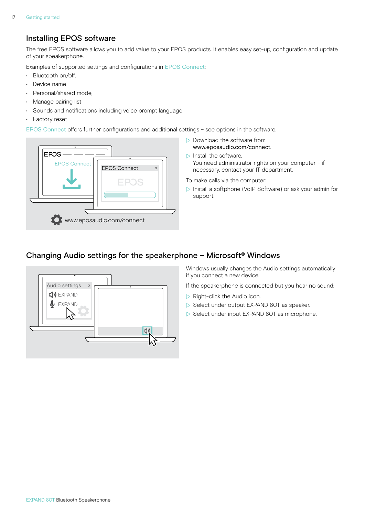## <span id="page-17-1"></span><span id="page-17-0"></span>Installing EPOS software

The free EPOS software allows you to add value to your EPOS products. It enables easy set-up, configuration and update of your speakerphone.

Examples of supported settings and configurations in EPOS Connect:

- Bluetooth on/off,
- Device name
- Personal/shared mode,
- Manage pairing list
- Sounds and notifications including voice prompt language
- Factory reset

EPOS Connect offers further configurations and additional settings – see options in the software.



- $\triangleright$  Download the software from www.eposaudio.com/connect.
- $\triangleright$  Install the software. You need administrator rights on your computer – if necessary, contact your IT department.
- To make calls via the computer:
- $\triangleright$  Install a softphone (VoIP Software) or ask your admin for support.

## Changing Audio settings for the speakerphone – Microsoft® Windows



Windows usually changes the Audio settings automatically if you connect a new device.

If the speakerphone is connected but you hear no sound:

- $\triangleright$  Right-click the Audio icon.
- $\triangleright$  Select under output EXPAND 80T as speaker.
- $\triangleright$  Select under input EXPAND 80T as microphone.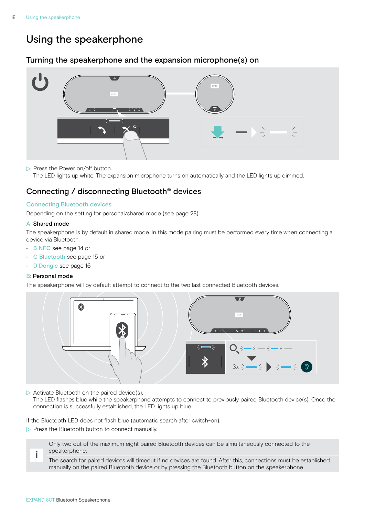# <span id="page-18-0"></span>Using the speakerphone

## <span id="page-18-1"></span>Turning the speakerphone and the expansion microphone(s) on



 $\triangleright$  Press the Power on/off button.

The LED lights up white. The expansion microphone turns on automatically and the LED lights up dimmed.

## Connecting / disconnecting Bluetooth® devices

#### Connecting Bluetooth devices

Depending on the setting for personal/shared mode (see page [28\)](#page-28-1).

#### A: Shared mode

The speakerphone is by default in shared mode. In this mode pairing must be performed every time when connecting a device via Bluetooth.

- B NFC see page [14](#page-14-1) or
- C Bluetooth see page [15](#page-15-1) or
- D Dongle see page [16](#page-16-1)

#### B: Personal mode

The speakerphone will by default attempt to connect to the two last connected Bluetooth devices.



 $\triangleright$  Activate Bluetooth on the paired device(s).

The LED flashes blue while the speakerphone attempts to connect to previously paired Bluetooth device(s). Once the connection is successfully established, the LED lights up blue.

If the Bluetooth LED does not flash blue (automatic search after switch-on):

 $\triangleright$  Press the Bluetooth button to connect manually.

Only two out of the maximum eight paired Bluetooth devices can be simultaneously connected to the speakerphone.

The search for paired devices will timeout if no devices are found. After this, connections must be established manually on the paired Bluetooth device or by pressing the Bluetooth button on the speakerphone

i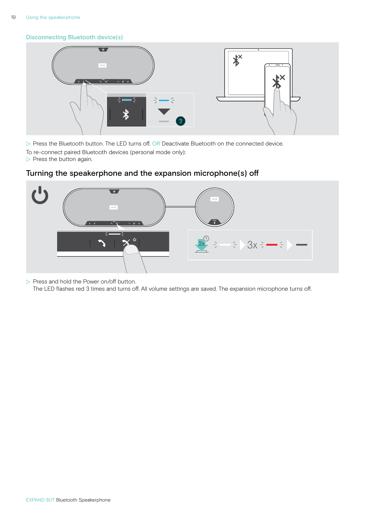#### <span id="page-19-0"></span>Disconnecting Bluetooth device(s)



 $\triangleright$  Press the Bluetooth button. The LED turns off. OR Deactivate Bluetooth on the connected device. To re-connect paired Bluetooth devices (personal mode only):

 $\triangleright$  Press the button again.



## Turning the speakerphone and the expansion microphone(s) off

 $\triangleright$  Press and hold the Power on/off button.

The LED flashes red 3 times and turns off. All volume settings are saved. The expansion microphone turns off.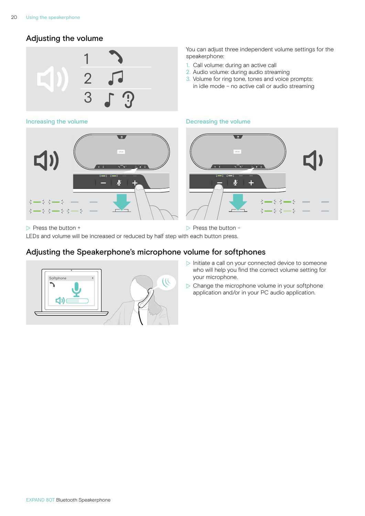## <span id="page-20-1"></span><span id="page-20-0"></span>Adjusting the volume



You can adjust three independent volume settings for the speakerphone:

- 1. Call volume: during an active call
- 2. Audio volume: during audio streaming
- 3. Volume for ring tone, tones and voice prompts: in idle mode – no active call or audio streaming

#### Increasing the volume **Decreasing the volume** Decreasing the volume



 $\triangleright$  Press the button +  $\triangleright$  Press the button – LEDs and volume will be increased or reduced by half step with each button press.

## Adjusting the Speakerphone's microphone volume for softphones



- 
- $\triangleright$  Initiate a call on your connected device to someone who will help you find the correct volume setting for your microphone.
- $\triangleright$  Change the microphone volume in your softphone application and/or in your PC audio application.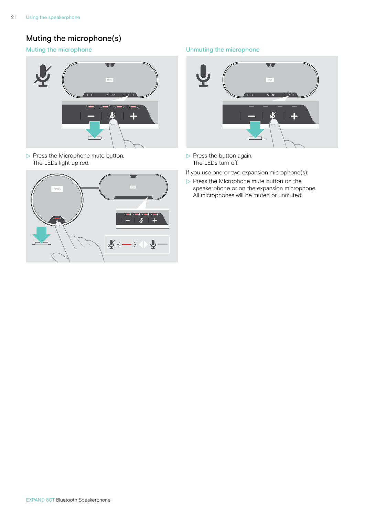## <span id="page-21-0"></span>Muting the microphone(s)



 $\triangleright$  Press the Microphone mute button. The LEDs light up red.



#### Muting the microphone **Muting the microphone** Unmuting the microphone



- $\triangleright$  Press the button again. The LEDs turn off.
- If you use one or two expansion microphone(s):
- $\triangleright$  Press the Microphone mute button on the speakerphone or on the expansion microphone. All microphones will be muted or unmuted.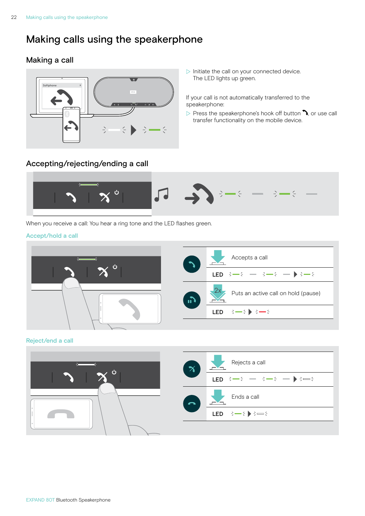# <span id="page-22-1"></span><span id="page-22-0"></span>Making calls using the speakerphone

## Making a call



 $\triangleright$  Initiate the call on your connected device. The LED lights up green.

If your call is not automatically transferred to the speakerphone:

 $\triangleright$  Press the speakerphone's hook off button  $\lambda$ , or use call transfer functionality on the mobile device.

## Accepting/rejecting/ending a call



When you receive a call: You hear a ring tone and the LED flashes green.

#### Accept/hold a call



Reject/end a call

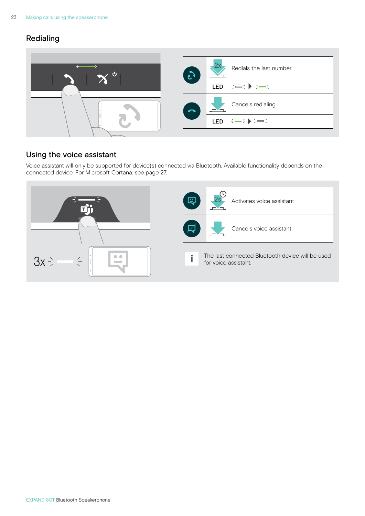## <span id="page-23-0"></span>Redialing



## Using the voice assistant

Voice assistant will only be supported for device(s) connected via Bluetooth. Available functionality depends on the connected device. For Microsoft Cortana: see page [27.](#page-27-2)

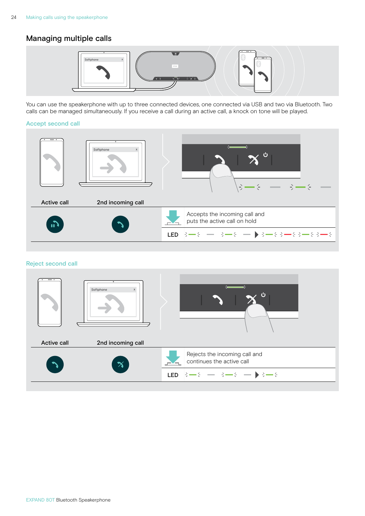## <span id="page-24-0"></span>Managing multiple calls



You can use the speakerphone with up to three connected devices, one connected via USB and two via Bluetooth. Two calls can be managed simultaneously. If you receive a call during an active call, a knock on tone will be played.

#### Accept second call



#### Reject second call

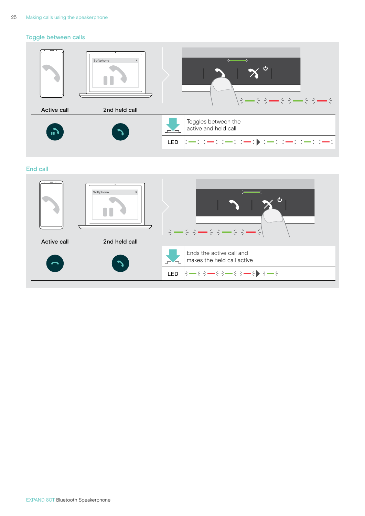#### Toggle between calls



#### End call

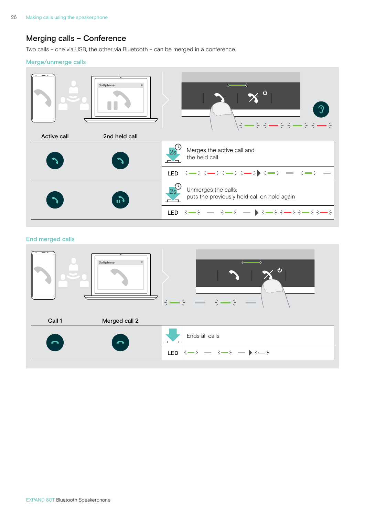## <span id="page-26-0"></span>Merging calls – Conference

Two calls – one via USB, the other via Bluetooth – can be merged in a conference.

#### Merge/unmerge calls



#### End merged calls

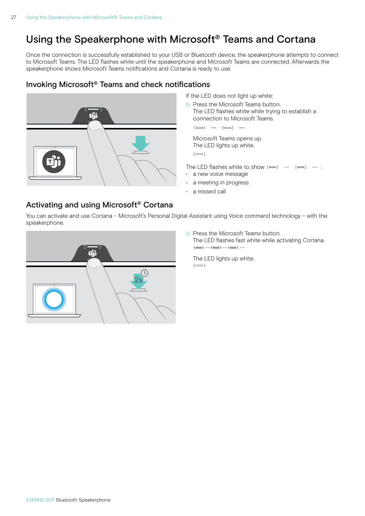# <span id="page-27-0"></span>Using the Speakerphone with Microsoft® Teams and Cortana

Once the connection is successfully established to your USB or Bluetooth device, the speakerphone attempts to connect to Microsoft Teams. The LED flashes white until the speakerphone and Microsoft Teams are connected. Afterwards the speakerphone shows Microsoft Teams notifications and Cortana is ready to use.

## <span id="page-27-1"></span>Invoking Microsoft® Teams and check notifications



If the LED does not light up white:

 $\triangleright$  Press the Microsoft Teams button. The LED flashes white while trying to establish a connection to Microsoft Teams.

 $3 \Rightarrow 3 \Rightarrow 3 \Rightarrow 5 \Rightarrow$ 

 $\Rightarrow$ Microsoft Teams opens up. The LED lights up white.

3x The LED flashes white to show :

- a new voice message
- a meeting in progress
- a missed call

## <span id="page-27-2"></span>Activating and using Microsoft® Cortana

You can activate and use Cortana – Microsoft's Personal Digital Assistant using Voice command technology – with the speakerphone.



 $\triangleright$  Press the Microsoft Teams button.

The LED flashes fast white while activating Cortana.  $:=:-:=:-:=:-$ 

The LED lights up white.  $\div$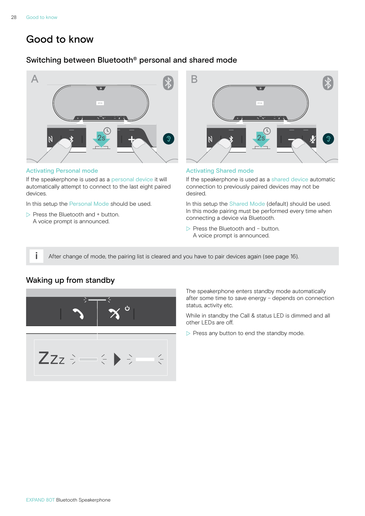# <span id="page-28-0"></span>Good to know

## <span id="page-28-1"></span>Switching between Bluetooth® personal and shared mode



#### Activating Personal mode

If the speakerphone is used as a personal device it will automatically attempt to connect to the last eight paired devices.

In this setup the Personal Mode should be used.

 $\triangleright$  Press the Bluetooth and + button. A voice prompt is announced.



#### Activating Shared mode

If the speakerphone is used as a shared device automatic connection to previously paired devices may not be desired.

In this setup the Shared Mode (default) should be used. In this mode pairing must be performed every time when connecting a device via Bluetooth.

 $\triangleright$  Press the Bluetooth and – button. A voice prompt is announced.

 $\ddot{\phantom{1}}$  After change of mode, the pairing list is cleared and you have to pair devices again (see page [16\)](#page-16-1).

## <span id="page-28-2"></span>Waking up from standby



The speakerphone enters standby mode automatically after some time to save energy – depends on connection status, activity etc.

While in standby the Call & status LED is dimmed and all other LEDs are off.

 $\triangleright$  Press any button to end the standby mode.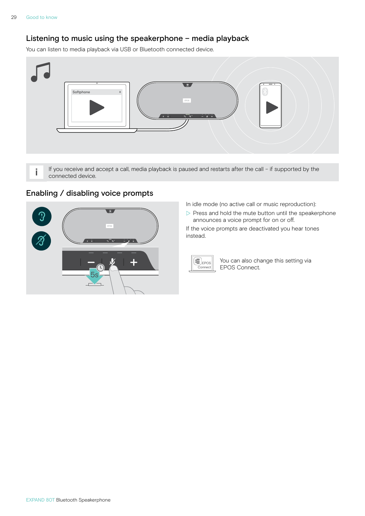## <span id="page-29-0"></span>Listening to music using the speakerphone – media playback

You can listen to media playback via USB or Bluetooth connected device.



i If you receive and accept a call, media playback is paused and restarts after the call - if supported by the connected device.

## Enabling / disabling voice prompts



In idle mode (no active call or music reproduction):

 $\triangleright$  Press and hold the mute button until the speakerphone announces a voice prompt for on or off.

If the voice prompts are deactivated you hear tones instead.



You can also change this setting via EPOS Connect.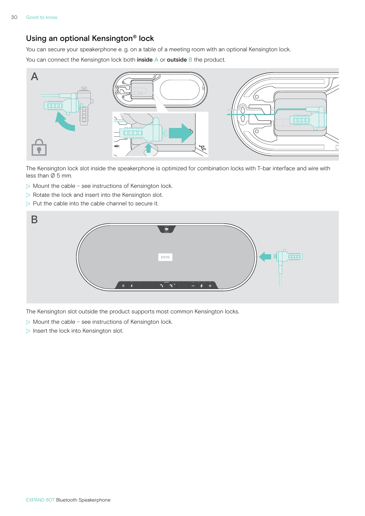## <span id="page-30-0"></span>Using an optional Kensington® lock

You can secure your speakerphone e. g. on a table of a meeting room with an optional Kensington lock.

You can connect the Kensington lock both inside A or outside B the product.



The Kensington lock slot inside the speakerphone is optimized for combination locks with T-bar interface and wire with less than Ø 5 mm.

- $\triangleright$  Mount the cable see instructions of Kensington lock.
- $\triangleright$  Rotate the lock and insert into the Kensington slot.
- $\triangleright$  Put the cable into the cable channel to secure it.



The Kensington slot outside the product supports most common Kensington locks.

- $\triangleright$  Mount the cable see instructions of Kensington lock.
- $\triangleright$  Insert the lock into Kensington slot.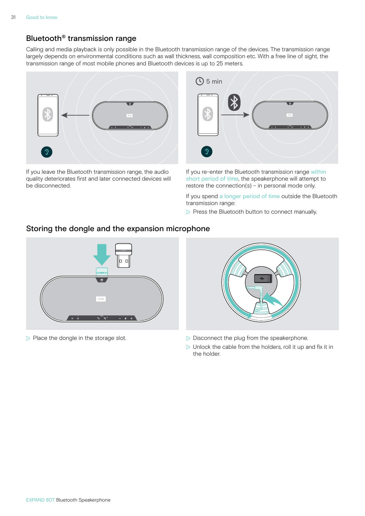## <span id="page-31-1"></span><span id="page-31-0"></span>Bluetooth® transmission range

Calling and media playback is only possible in the Bluetooth transmission range of the devices. The transmission range largely depends on environmental conditions such as wall thickness, wall composition etc. With a free line of sight, the transmission range of most mobile phones and Bluetooth devices is up to 25 meters.



If you leave the Bluetooth transmission range, the audio quality deteriorates first and later connected devices will be disconnected.



If you re-enter the Bluetooth transmission range within short period of time, the speakerphone will attempt to restore the connection(s) – in personal mode only.

If you spend a longer period of time outside the Bluetooth transmission range:

 $\triangleright$  Press the Bluetooth button to connect manually.

#### Storing the dongle and the expansion microphone





- $\triangleright$  Place the dongle in the storage slot.  $\triangleright$  Disconnect the plug from the speakerphone.
	- $\triangleright$  Unlock the cable from the holders, roll it up and fix it in the holder.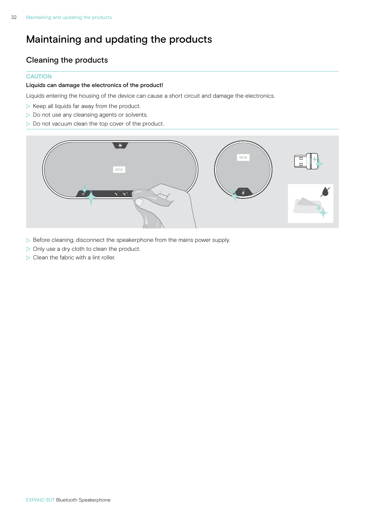# <span id="page-32-1"></span><span id="page-32-0"></span>Maintaining and updating the products

## Cleaning the products

#### **CAUTION**

#### Liquids can damage the electronics of the product!

Liquids entering the housing of the device can cause a short circuit and damage the electronics.

- $\triangleright$  Keep all liquids far away from the product.
- $\triangleright$  Do not use any cleansing agents or solvents.
- $\triangleright$  Do not vacuum clean the top cover of the product.



- $\triangleright$  Before cleaning, disconnect the speakerphone from the mains power supply.
- $\triangleright$  Only use a dry cloth to clean the product.
- $\triangleright$  Clean the fabric with a lint roller.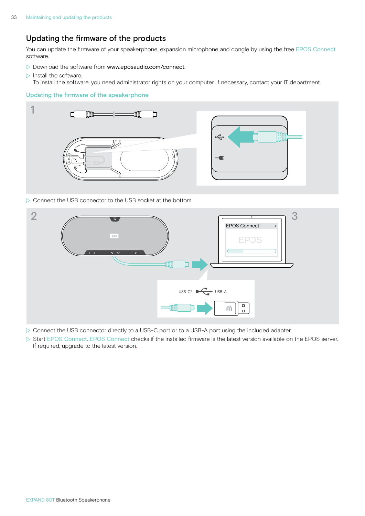## <span id="page-33-0"></span>Updating the firmware of the products

You can update the firmware of your speakerphone, expansion microphone and dongle by using the free EPOS Connect software.

- $\triangleright$  Download the software from www.eposaudio.com/connect.
- $\triangleright$  Install the software. To install the software, you need administrator rights on your computer. If necessary, contact your IT department.

#### Updating the firmware of the speakerphone



 $\triangleright$  Connect the USB connector to the USB socket at the bottom.



- ▶ Connect the USB connector directly to a USB-C port or to a USB-A port using the included adapter.
- $\triangleright$  Start EPOS Connect. EPOS Connect checks if the installed firmware is the latest version available on the EPOS server. If required, upgrade to the latest version.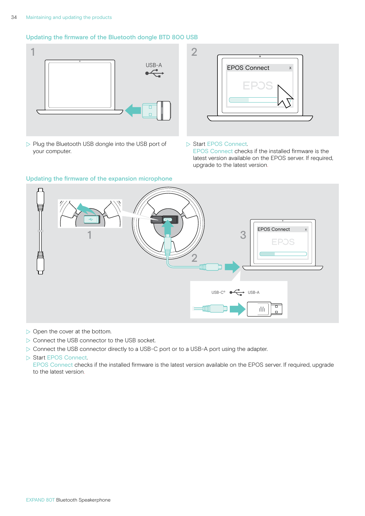#### Updating the firmware of the Bluetooth dongle BTD 800 USB



 $\triangleright$  Plug the Bluetooth USB dongle into the USB port of your computer.



#### ▶ Start EPOS Connect.

EPOS Connect checks if the installed firmware is the latest version available on the EPOS server. If required, upgrade to the latest version.



 $\triangleright$  Open the cover at the bottom.

 $\triangleright$  Connect the USB connector to the USB socket.

 $\triangleright$  Connect the USB connector directly to a USB-C port or to a USB-A port using the adapter.

#### ▶ Start EPOS Connect.

EPOS Connect checks if the installed firmware is the latest version available on the EPOS server. If required, upgrade to the latest version.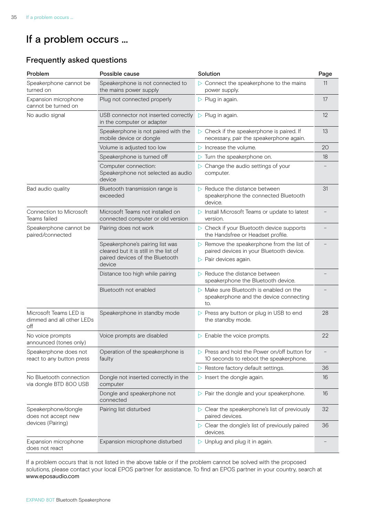# <span id="page-35-0"></span>If a problem occurs ...

## Frequently asked questions

| Problem                                                    | Possible cause                                                                                                         | Solution                                                                                                                                      | Page |
|------------------------------------------------------------|------------------------------------------------------------------------------------------------------------------------|-----------------------------------------------------------------------------------------------------------------------------------------------|------|
| Speakerphone cannot be<br>turned on                        | Speakerphone is not connected to<br>the mains power supply                                                             | $\triangleright$ Connect the speakerphone to the mains<br>power supply.                                                                       | 11   |
| Expansion microphone<br>cannot be turned on                | Plug not connected properly                                                                                            | $\triangleright$ Plug in again.                                                                                                               | 17   |
| No audio signal                                            | USB connector not inserted correctly<br>in the computer or adapter                                                     | $\triangleright$ Plug in again.                                                                                                               | 12   |
|                                                            | Speakerphone is not paired with the<br>mobile device or dongle                                                         | $\triangleright$ Check if the speakerphone is paired. If<br>necessary, pair the speakerphone again.                                           | 13   |
|                                                            | Volume is adjusted too low                                                                                             | $\triangleright$ Increase the volume.                                                                                                         | 20   |
|                                                            | Speakerphone is turned off                                                                                             | Turn the speakerphone on.<br>▷                                                                                                                | 18   |
|                                                            | Computer connection:<br>Speakerphone not selected as audio<br>device                                                   | $\triangleright$ Change the audio settings of your<br>computer.                                                                               |      |
| Bad audio quality                                          | Bluetooth transmission range is<br>exceeded                                                                            | Reduce the distance between<br>speakerphone the connected Bluetooth<br>device.                                                                | 31   |
| Connection to Microsoft<br>Teams failed                    | Microsoft Teams not installed on<br>connected computer or old version                                                  | $\triangleright$ Install Microsoft Teams or update to latest<br>version.                                                                      |      |
| Speakerphone cannot be<br>paired/connected                 | Pairing does not work                                                                                                  | $\triangleright$ Check if your Bluetooth device supports<br>the Handsfree or Headset profile.                                                 |      |
|                                                            | Speakerphone's pairing list was<br>cleared but it is still in the list of<br>paired devices of the Bluetooth<br>device | $\triangleright$ Remove the speakerphone from the list of<br>paired devices in your Bluetooth device.<br>$\triangleright$ Pair devices again. |      |
|                                                            | Distance too high while pairing                                                                                        | Reduce the distance between<br>speakerphone the Bluetooth device.                                                                             |      |
|                                                            | Bluetooth not enabled                                                                                                  | $\triangleright$ Make sure Bluetooth is enabled on the<br>speakerphone and the device connecting<br>to.                                       |      |
| Microsoft Teams LED is<br>dimmed and all other LEDs<br>off | Speakerphone in standby mode                                                                                           | $\triangleright$ Press any button or plug in USB to end<br>the standby mode.                                                                  | 28   |
| No voice prompts<br>announced (tones only)                 | Voice prompts are disabled                                                                                             | $\triangleright$ Enable the voice prompts.                                                                                                    | 22   |
| Speakerphone does not<br>react to any button press         | Operation of the speakerphone is<br>faulty                                                                             | $\triangleright$ Press and hold the Power on/off button for<br>10 seconds to reboot the speakerphone.                                         |      |
|                                                            |                                                                                                                        | $\triangleright$ Restore factory default settings.                                                                                            | 36   |
| No Bluetooth connection<br>via dongle BTD 800 USB          | Dongle not inserted correctly in the<br>computer                                                                       | Insert the dongle again.<br>▷                                                                                                                 | 16   |
|                                                            | Dongle and speakerphone not<br>connected                                                                               | $\triangleright$ Pair the dongle and your speakerphone.                                                                                       | 16   |
| Speakerphone/dongle<br>does not accept new                 | Pairing list disturbed                                                                                                 | $\triangleright$ Clear the speakerphone's list of previously<br>paired devices.                                                               | 32   |
| devices (Pairing)                                          |                                                                                                                        | $\triangleright$ Clear the dongle's list of previously paired<br>devices.                                                                     | 36   |
| Expansion microphone<br>does not react                     | Expansion microphone disturbed                                                                                         | $\triangleright$ Unplug and plug it in again.                                                                                                 |      |

If a problem occurs that is not listed in the above table or if the problem cannot be solved with the proposed solutions, please contact your local EPOS partner for assistance. To find an EPOS partner in your country, search at www.eposaudio.com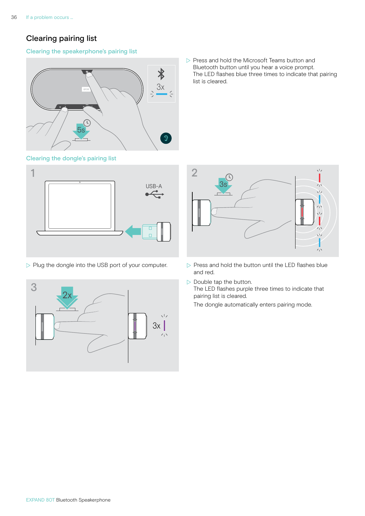## <span id="page-36-0"></span>Clearing pairing list

#### Clearing the speakerphone's pairing list



<span id="page-36-2"></span>





 $\triangleright$  Press and hold the Microsoft Teams button and Bluetooth button until you hear a voice prompt. The LED flashes blue three times to indicate that pairing list is cleared.

<span id="page-36-1"></span>

- $\triangleright$  Plug the dongle into the USB port of your computer.  $\triangleright$  Press and hold the button until the LED flashes blue and red.
	- $\triangleright$  Double tap the button. The LED flashes purple three times to indicate that pairing list is cleared.

The dongle automatically enters pairing mode.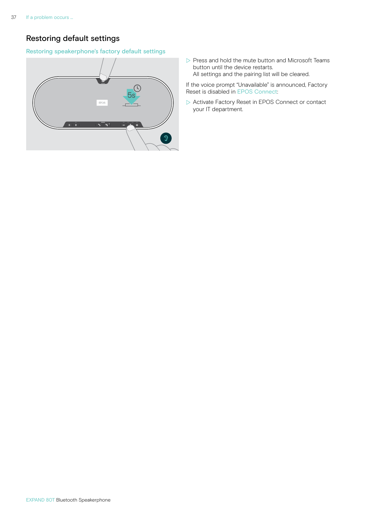## <span id="page-37-0"></span>Restoring default settings

#### Restoring speakerphone's factory default settings



 $\triangleright$  Press and hold the mute button and Microsoft Teams button until the device restarts. All settings and the pairing list will be cleared.

If the voice prompt "Unavailable" is announced, Factory Reset is disabled in EPOS Connect:

 $\triangleright$  Activate Factory Reset in EPOS Connect or contact your IT department.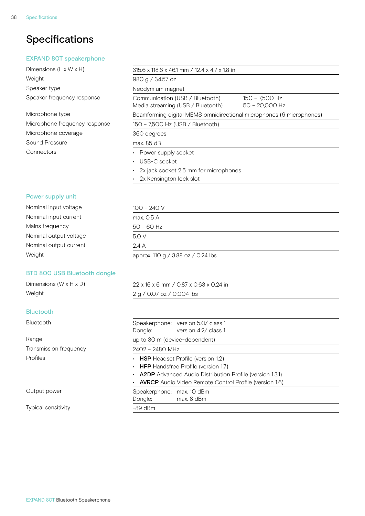# <span id="page-38-0"></span>Specifications

#### EXPAND 80T speakerphone

Dimensions (L x W x H) Weight Speaker type Speaker frequency response

#### Microphone type

Microphone frequency response Microphone coverage Sound Pressure Connectors

| 315.6 x 118.6 x 46.1 mm / 12.4 x 4.7 x 1.8 in                        |                                    |
|----------------------------------------------------------------------|------------------------------------|
| 980 g / 34.57 oz                                                     |                                    |
| Neodymium magnet                                                     |                                    |
| Communication (USB / Bluetooth)<br>Media streaming (USB / Bluetooth) | 150 - 7,500 Hz<br>$50 - 20,000$ Hz |
| Beamforming digital MEMS omnidirectional microphones (6 microphones) |                                    |
| 150 - 7,500 Hz (USB / Bluetooth)                                     |                                    |
| 360 degrees                                                          |                                    |
| max. 85 dB                                                           |                                    |
| • Power supply socket                                                |                                    |
| • USB-C socket                                                       |                                    |
| $\cdot$ 2x jack socket 2.5 mm for microphones                        |                                    |
| $\cdot$ 2x Kensington lock slot                                      |                                    |
|                                                                      |                                    |

#### Power supply unit

| Nominal input voltage  | $100 - 240 V$                      |
|------------------------|------------------------------------|
| Nominal input current  | max. 0.5 A                         |
| Mains frequency        | $50 - 60$ Hz                       |
| Nominal output voltage | 5.0 V                              |
| Nominal output current | 2.4A                               |
| Weight                 | approx. 110 g / 3.88 oz / 0.24 lbs |
|                        |                                    |

#### BTD 800 USB Bluetooth dongle

#### Bluetooth

Typical sensitivity

| Dimensions (W x H x D) | 22 x 16 x 6 mm / 0.87 x 0.63 x 0.24 in |
|------------------------|----------------------------------------|
| Weight                 | 2 g / 0.07 oz / 0.004 lbs              |

| <b>Bluetooth</b>       | Speakerphone: version 5.0/ class 1<br>version 4.2/ class 1<br>Dongle:                                                                                                                                                      |  |  |
|------------------------|----------------------------------------------------------------------------------------------------------------------------------------------------------------------------------------------------------------------------|--|--|
| Range                  | up to 30 m (device-dependent)                                                                                                                                                                                              |  |  |
| Transmission frequency | 2402 - 2480 MHz                                                                                                                                                                                                            |  |  |
| Profiles               | $\cdot$ HSP Headset Profile (version 1.2)<br>• HFP Handsfree Profile (version 1.7)<br>• <b>A2DP</b> Advanced Audio Distribution Profile (version 1.3.1)<br>• <b>AVRCP</b> Audio Video Remote Control Profile (version 1.6) |  |  |
| Output power           | Speakerphone: max. 10 dBm<br>max. 8 dBm<br>Dongle:                                                                                                                                                                         |  |  |
| Typical sensitivity    | $-89$ dBm                                                                                                                                                                                                                  |  |  |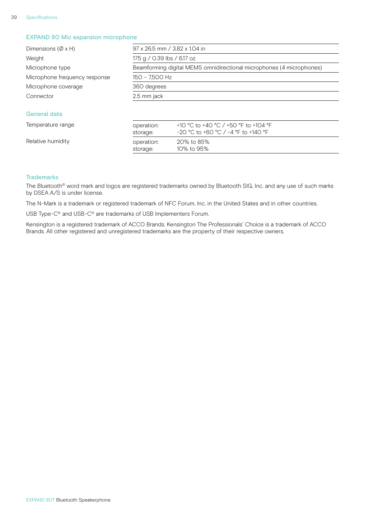#### EXPAND 80 Mic expansion microphone

| Dimensions ( $\varnothing$ x H) | 97 x 26.5 mm / 3.82 x 1.04 in                                        |                                                                               |  |
|---------------------------------|----------------------------------------------------------------------|-------------------------------------------------------------------------------|--|
| Weight                          | 175 g / 0.39 lbs / 6.17 oz                                           |                                                                               |  |
| Microphone type                 | Beamforming digital MEMS omnidirectional microphones (4 microphones) |                                                                               |  |
| Microphone frequency response   | 150 - 7,500 Hz                                                       |                                                                               |  |
| Microphone coverage             | 360 degrees                                                          |                                                                               |  |
| Connector                       | 2.5 mm jack                                                          |                                                                               |  |
| General data                    |                                                                      |                                                                               |  |
| Temperature range               | operation:<br>storage:                                               | +10 °C to +40 °C / +50 °F to +104 °F<br>$-20$ °C to +60 °C / -4 °F to +140 °F |  |

#### Relative humidity **Relation:** 20% to 85%

#### **Trademarks**

The Bluetooth® word mark and logos are registered trademarks owned by Bluetooth SIG, Inc. and any use of such marks by DSEA A/S is under license.

The N-Mark is a trademark or registered trademark of NFC Forum, Inc. in the United States and in other countries.

storage: 10% to 95%

USB Type-C® and USB-C® are trademarks of USB Implementers Forum.

Kensington is a registered trademark of ACCO Brands. Kensington The Professionals' Choice is a trademark of ACCO Brands. All other registered and unregistered trademarks are the property of their respective owners.